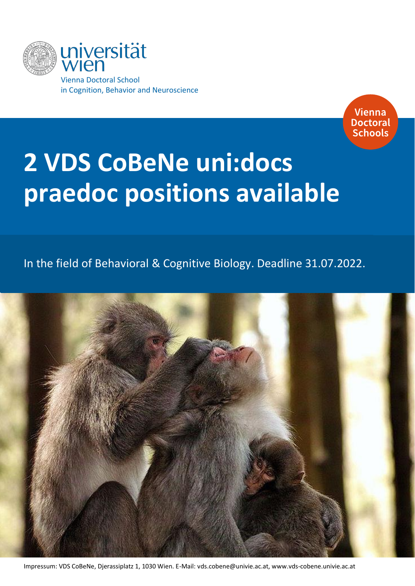



# **2 VDS CoBeNe uni:docs praedoc positions available**

## In the field of Behavioral & Cognitive Biology. Deadline 31.07.2022.



Impressum: VDS CoBeNe, Djerassiplatz 1, 1030 Wien. E-Mail: [vds.cobene@univie.ac.at,](mailto:vds.cobene@univie.ac.at) www.vds-cobene.univie.ac.at